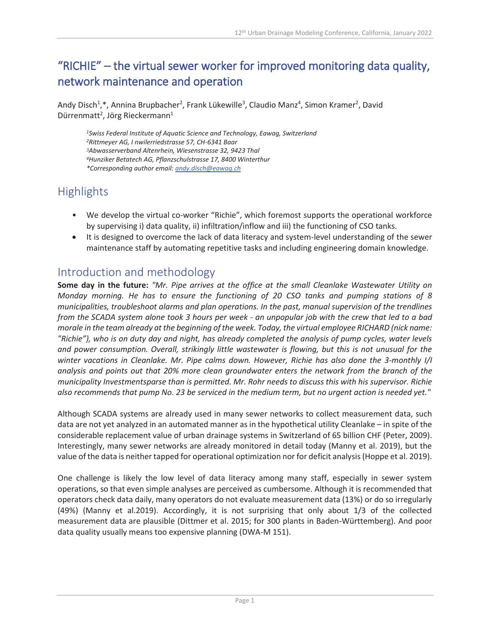# "RICHIE" – the virtual sewer worker for improved monitoring data quality, network maintenance and operation

Andy Disch<sup>1</sup>,\*, Annina Brupbacher<sup>2</sup>, Frank Lükewille<sup>3</sup>, Claudio Manz<sup>4</sup>, Simon Kramer<sup>2</sup>, David Dürrenmatt<sup>2</sup>, Jörg Rieckermann<sup>1</sup>

*Swiss Federal Institute of Aquatic Science and Technology, Eawag, Switzerland Rittmeyer AG, I nwilerriedstrasse 57, CH-6341 Baar Abwasserverband Altenrhein, Wiesenstrasse 32, 9423 Thal Hunziker Betatech AG, Pflanzschulstrasse 17, 8400 Winterthur \*Corresponding author email[: andy.disch@eawag.ch](mailto:andy.disch@eawag.ch)*

## **Highlights**

- We develop the virtual co-worker "Richie", which foremost supports the operational workforce by supervising i) data quality, ii) infiltration/inflow and iii) the functioning of CSO tanks.
- It is designed to overcome the lack of data literacy and system-level understanding of the sewer maintenance staff by automating repetitive tasks and including engineering domain knowledge.

### Introduction and methodology

**Some day in the future:** *"Mr. Pipe arrives at the office at the small Cleanlake Wastewater Utility on Monday morning. He has to ensure the functioning of 20 CSO tanks and pumping stations of 8 municipalities, troubleshoot alarms and plan operations. In the past, manual supervision of the trendlines from the SCADA system alone took 3 hours per week - an unpopular job with the crew that led to a bad morale in the team already at the beginning of the week. Today, the virtual employee RICHARD (nick name: "Richie"), who is on duty day and night, has already completed the analysis of pump cycles, water levels and power consumption. Overall, strikingly little wastewater is flowing, but this is not unusual for the winter vacations in Cleanlake. Mr. Pipe calms down. However, Richie has also done the 3-monthly I/I analysis and points out that 20% more clean groundwater enters the network from the branch of the municipality Investmentsparse than is permitted. Mr. Rohr needs to discuss this with his supervisor. Richie also recommends that pump No. 23 be serviced in the medium term, but no urgent action is needed yet."*

Although SCADA systems are already used in many sewer networks to collect measurement data, such data are not yet analyzed in an automated manner as in the hypothetical utility Cleanlake – in spite of the considerable replacement value of urban drainage systems in Switzerland of 65 billion CHF (Peter, 2009). Interestingly, many sewer networks are already monitored in detail today (Manny et al. 2019), but the value of the data is neither tapped for operational optimization nor for deficit analysis (Hoppe et al. 2019).

One challenge is likely the low level of data literacy among many staff, especially in sewer system operations, so that even simple analyses are perceived as cumbersome. Although it is recommended that operators check data daily, many operators do not evaluate measurement data (13%) or do so irregularly (49%) (Manny et al.2019). Accordingly, it is not surprising that only about 1/3 of the collected measurement data are plausible (Dittmer et al. 2015; for 300 plants in Baden-Württemberg). And poor data quality usually means too expensive planning (DWA-M 151).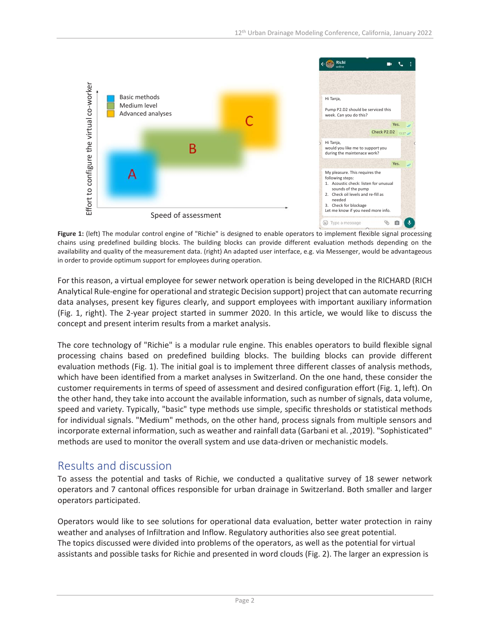

Figure 1: (left) The modular control engine of "Richie" is designed to enable operators to implement flexible signal processing chains using predefined building blocks. The building blocks can provide different evaluation methods depending on the availability and quality of the measurement data. (right) An adapted user interface, e.g. via Messenger, would be advantageous in order to provide optimum support for employees during operation.

For this reason, a virtual employee for sewer network operation is being developed in the RICHARD (RICH Analytical Rule-engine for operational and strategic Decision support) project that can automate recurring data analyses, present key figures clearly, and support employees with important auxiliary information (Fig. 1, right). The 2-year project started in summer 2020. In this article, we would like to discuss the concept and present interim results from a market analysis.

The core technology of "Richie" is a modular rule engine. This enables operators to build flexible signal processing chains based on predefined building blocks. The building blocks can provide different evaluation methods (Fig. 1). The initial goal is to implement three different classes of analysis methods, which have been identified from a market analyses in Switzerland. On the one hand, these consider the customer requirements in terms of speed of assessment and desired configuration effort (Fig. 1, left). On the other hand, they take into account the available information, such as number of signals, data volume, speed and variety. Typically, "basic" type methods use simple, specific thresholds or statistical methods for individual signals. "Medium" methods, on the other hand, process signals from multiple sensors and incorporate external information, such as weather and rainfall data (Garbani et al. ,2019). "Sophisticated" methods are used to monitor the overall system and use data-driven or mechanistic models.

### Results and discussion

To assess the potential and tasks of Richie, we conducted a qualitative survey of 18 sewer network operators and 7 cantonal offices responsible for urban drainage in Switzerland. Both smaller and larger operators participated.

Operators would like to see solutions for operational data evaluation, better water protection in rainy weather and analyses of Infiltration and Inflow. Regulatory authorities also see great potential. The topics discussed were divided into problems of the operators, as well as the potential for virtual assistants and possible tasks for Richie and presented in word clouds (Fig. 2). The larger an expression is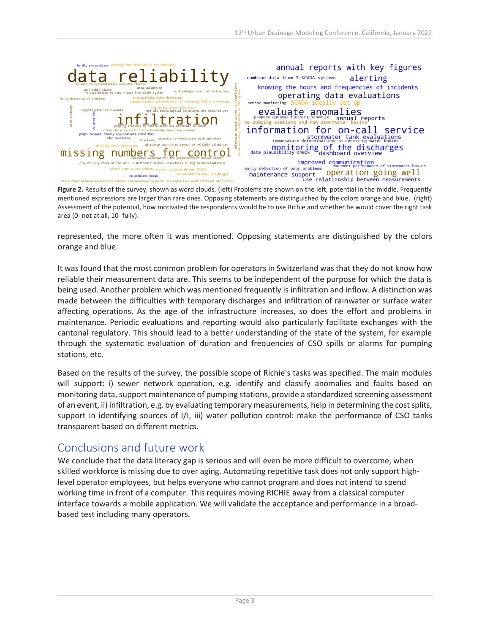

**Figure 2.** Results of the survey, shown as word clouds. (left) Problems are shown on the left, potential in the middle. Frequently mentioned expressions are larger than rare ones. Opposing statements are distinguished by the colors orange and blue. (right) Assessment of the potential, how motivated the respondents would be to use Richie and whether he would cover the right task area (0- not at all, 10- fully).

represented, the more often it was mentioned. Opposing statements are distinguished by the colors orange and blue.

It was found that the most common problem for operators in Switzerland was that they do not know how reliable their measurement data are. This seems to be independent of the purpose for which the data is being used. Another problem which was mentioned frequently is infiltration and inflow. A distinction was made between the difficulties with temporary discharges and infiltration of rainwater or surface water affecting operations. As the age of the infrastructure increases, so does the effort and problems in maintenance. Periodic evaluations and reporting would also particularly facilitate exchanges with the cantonal regulatory. This should lead to a better understanding of the state of the system, for example through the systematic evaluation of duration and frequencies of CSO spills or alarms for pumping stations, etc.

Based on the results of the survey, the possible scope of Richie's tasks was specified. The main modules will support: i) sewer network operation, e.g. identify and classify anomalies and faults based on monitoring data, support maintenance of pumping stations, provide a standardized screening assessment of an event, ii) infiltration, e.g. by evaluating temporary measurements, help in determining the cost splits, support in identifying sources of I/I, iii) water pollution control: make the performance of CSO tanks transparent based on different metrics.

### Conclusions and future work

We conclude that the data literacy gap is serious and will even be more difficult to overcome, when skilled workforce is missing due to over aging. Automating repetitive task does not only support highlevel operator employees, but helps everyone who cannot program and does not intend to spend working time in front of a computer. This requires moving RICHIE away from a classical computer interface towards a mobile application. We will validate the acceptance and performance in a broadbased test including many operators.